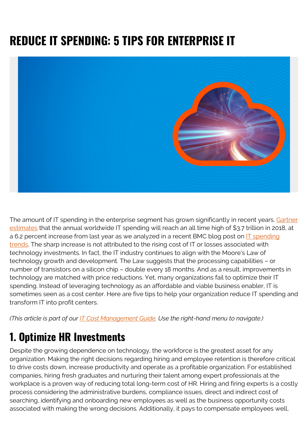# **REDUCE IT SPENDING: 5 TIPS FOR ENTERPRISE IT**



The amount of IT spending in the enterprise segment has grown significantly in recent years. [Gartner](https://www.gartner.com/newsroom/id/3871063) [estimates](https://www.gartner.com/newsroom/id/3871063) that the annual worldwide IT spending will reach an all time high of \$3.7 trillion in 2018, at a 6.2 percent increase from last year as we analyzed in a recent BMC blog post on  $IT$  spending [trends](https://blogs.bmc.com/blogs/it-spending-trends/). The sharp increase is not attributed to the rising cost of IT or losses associated with technology investments. In fact, the IT industry continues to align with the Moore's Law of technology growth and development. The Law suggests that the processing capabilities – or number of transistors on a silicon chip – double every 18 months. And as a result, improvements in technology are matched with price reductions. Yet, many organizations fail to optimize their IT spending. Instead of leveraging technology as an affordable and viable business enabler, IT is sometimes seen as a cost center. Here are five tips to help your organization reduce IT spending and transform IT into profit centers.

*(This article is part of our [IT Cost Management Guide.](https://blogs.bmc.com/blogs/it-budget-management/) Use the right-hand menu to navigate.)*

#### **1. Optimize HR Investments**

Despite the growing dependence on technology, the workforce is the greatest asset for any organization. Making the right decisions regarding hiring and employee retention is therefore critical to drive costs down, increase productivity and operate as a profitable organization. For established companies, hiring fresh graduates and nurturing their talent among expert professionals at the workplace is a proven way of reducing total long-term cost of HR. Hiring and firing experts is a costly process considering the administrative burdens, compliance issues, direct and indirect cost of searching, identifying and onboarding new employees as well as the business opportunity costs associated with making the wrong decisions. Additionally, it pays to compensate employees well,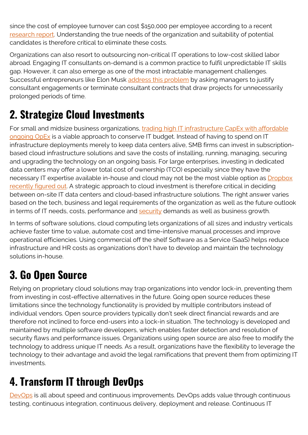since the cost of employee turnover can cost \$150,000 per employee according to a recent [research report](https://www.hrdive.com/news/study-turnover-costs-employers-15000-per-worker/449142/). Understanding the true needs of the organization and suitability of potential candidates is therefore critical to eliminate these costs.

Organizations can also resort to outsourcing non-critical IT operations to low-cost skilled labor abroad. Engaging IT consultants on-demand is a common practice to fulfil unpredictable IT skills gap. However, it can also emerge as one of the most intractable management challenges. Successful entrepreneurs like Elon Musk [address this problem](https://www.inc.com/geoffrey-james/elon-musk-cut-gordian-knot-of-corporate-spending.html) by asking managers to justify consultant engagements or terminate consultant contracts that draw projects for unnecessarily prolonged periods of time.

# **2. Strategize Cloud Investments**

For small and midsize business organizations, [trading high IT infrastructure CapEx with affordable](https://blogs.bmc.com/blogs/capex-vs-opex/) [ongoing OpEx](https://blogs.bmc.com/blogs/capex-vs-opex/) is a viable approach to conserve IT budget. Instead of having to spend on IT infrastructure deployments merely to keep data centers alive, SMB firms can invest in subscriptionbased cloud infrastructure solutions and save the costs of installing, running, managing, securing and upgrading the technology on an ongoing basis. For large enterprises, investing in dedicated data centers may offer a lower total cost of ownership (TCO) especially since they have the necessary IT expertise available in-house and cloud may not be the most viable option as [Dropbox](https://www.geekwire.com/2018/dropbox-saved-almost-75-million-two-years-building-tech-infrastructure/) [recently figured out.](https://www.geekwire.com/2018/dropbox-saved-almost-75-million-two-years-building-tech-infrastructure/) A strategic approach to cloud investment is therefore critical in deciding between on-site IT data centers and cloud-based infrastructure solutions. The right answer varies based on the tech, business and legal requirements of the organization as well as the future outlook in terms of IT needs, costs, performance and [security](https://blogs.bmc.com/blogs/security-vulnerability-vs-threat-vs-risk-whats-difference/) demands as well as business growth.

In terms of software solutions, cloud computing lets organizations of all sizes and industry verticals achieve faster time to value, automate cost and time-intensive manual processes and improve operational efficiencies. Using commercial off the shelf Software as a Service (SaaS) helps reduce infrastructure and HR costs as organizations don't have to develop and maintain the technology solutions in-house.

## **3. Go Open Source**

Relying on proprietary cloud solutions may trap organizations into vendor lock-in, preventing them from investing in cost-effective alternatives in the future. Going open source reduces these limitations since the technology functionality is provided by multiple contributors instead of individual vendors. Open source providers typically don't seek direct financial rewards and are therefore not inclined to force end-users into a lock-in situation. The technology is developed and maintained by multiple software developers, which enables faster detection and resolution of security flaws and performance issues. Organizations using open source are also free to modify the technology to address unique IT needs. As a result, organizations have the flexibility to leverage the technology to their advantage and avoid the legal ramifications that prevent them from optimizing IT investments.

### **4. Transform IT through DevOps**

[DevOps](https://blogs.bmc.com/blogs/devops-basics-introduction/) is all about speed and continuous improvements. DevOps adds value through continuous testing, continuous integration, continuous delivery, deployment and release. Continuous IT